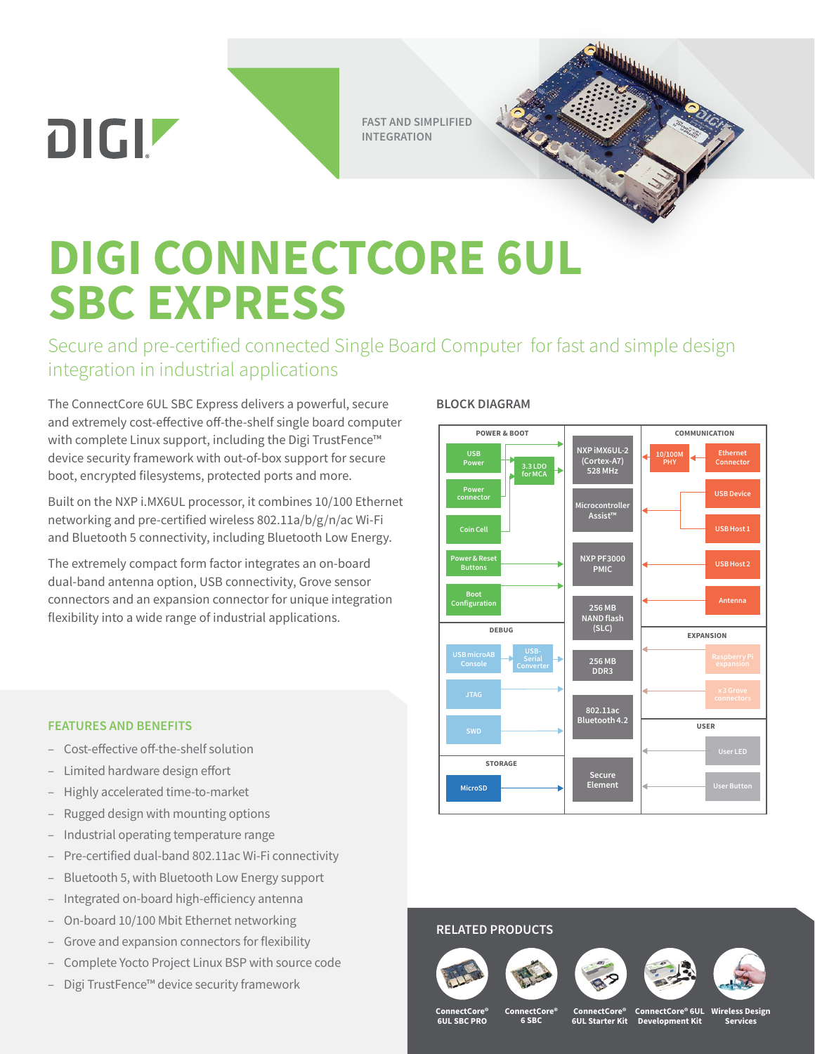**FAST AND SIMPLIFIED INTEGRATION**



Secure and pre-certified connected Single Board Computer for fast and simple design integration in industrial applications

The ConnectCore 6UL SBC Express delivers a powerful, secure and extremely cost-effective off-the-shelf single board computer with complete Linux support, including the Digi TrustFence™ device security framework with out-of-box support for secure boot, encrypted filesystems, protected ports and more.

Built on the NXP i.MX6UL processor, it combines 10/100 Ethernet networking and pre-certified wireless 802.11a/b/g/n/ac Wi-Fi and Bluetooth 5 connectivity, including Bluetooth Low Energy.

The extremely compact form factor integrates an on-board dual-band antenna option, USB connectivity, Grove sensor connectors and an expansion connector for unique integration flexibility into a wide range of industrial applications.

## **BLOCK DIAGRAM**



#### **FEATURES AND BENEFITS**

**DIGIZ** 

- Cost-effective off-the-shelf solution
- Limited hardware design effort
- Highly accelerated time-to-market
- Rugged design with mounting options
- Industrial operating temperature range
- Pre-certified dual-band 802.11ac Wi-Fi connectivity
- Bluetooth 5, with Bluetooth Low Energy support
- Integrated on-board high-efficiency antenna
- On-board 10/100 Mbit Ethernet networking
- Grove and expansion connectors for flexibility
- Complete Yocto Project Linux BSP with source code
- Digi TrustFence™ device security framework

## **RELATED PRODUCTS**









**ConnectCore® 6UL SBC PRO**

**ConnectCore® 6 SBC**

**ConnectCore® 6UL Starter Kit Wireless Design Services ConnectCore® 6UL Development Kit**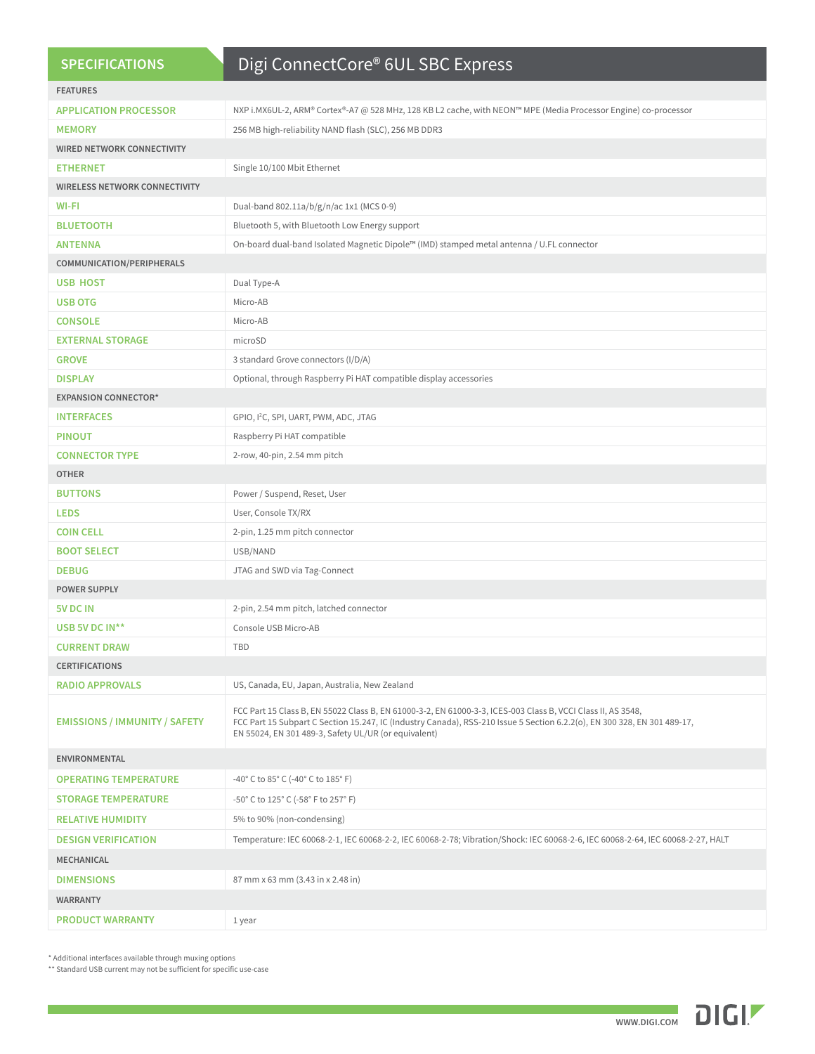| <b>FEATURES</b><br>NXP i.MX6UL-2, ARM® Cortex®-A7 @ 528 MHz, 128 KB L2 cache, with NEON™ MPE (Media Processor Engine) co-processor<br><b>APPLICATION PROCESSOR</b><br>256 MB high-reliability NAND flash (SLC), 256 MB DDR3<br><b>MEMORY</b><br><b>WIRED NETWORK CONNECTIVITY</b><br>Single 10/100 Mbit Ethernet<br><b>ETHERNET</b><br><b>WIRELESS NETWORK CONNECTIVITY</b><br>Dual-band 802.11a/b/g/n/ac 1x1 (MCS 0-9)<br>WI-FI<br>Bluetooth 5, with Bluetooth Low Energy support<br><b>BLUETOOTH</b><br><b>ANTENNA</b><br>On-board dual-band Isolated Magnetic Dipole™ (IMD) stamped metal antenna / U.FL connector<br>COMMUNICATION/PERIPHERALS<br><b>USB HOST</b><br>Dual Type-A<br><b>USB OTG</b><br>Micro-AB<br><b>CONSOLE</b><br>Micro-AB<br><b>EXTERNAL STORAGE</b><br>microSD<br><b>GROVE</b><br>3 standard Grove connectors (I/D/A)<br>Optional, through Raspberry Pi HAT compatible display accessories<br><b>DISPLAY</b><br><b>EXPANSION CONNECTOR*</b><br>GPIO, I <sup>2</sup> C, SPI, UART, PWM, ADC, JTAG<br><b>INTERFACES</b><br><b>PINOUT</b><br>Raspberry Pi HAT compatible<br><b>CONNECTOR TYPE</b><br>2-row, 40-pin, 2.54 mm pitch<br><b>OTHER</b><br>Power / Suspend, Reset, User<br><b>BUTTONS</b><br>User, Console TX/RX<br><b>LEDS</b><br><b>COIN CELL</b><br>2-pin, 1.25 mm pitch connector<br><b>BOOT SELECT</b><br>USB/NAND<br>JTAG and SWD via Tag-Connect<br><b>DEBUG</b><br><b>POWER SUPPLY</b><br>5V DC IN<br>2-pin, 2.54 mm pitch, latched connector<br>USB 5V DC IN**<br>Console USB Micro-AB<br><b>CURRENT DRAW</b><br>TBD<br><b>CERTIFICATIONS</b><br><b>RADIO APPROVALS</b><br>US, Canada, EU, Japan, Australia, New Zealand<br>FCC Part 15 Class B, EN 55022 Class B, EN 61000-3-2, EN 61000-3-3, ICES-003 Class B, VCCI Class II, AS 3548,<br>FCC Part 15 Subpart C Section 15.247, IC (Industry Canada), RSS-210 Issue 5 Section 6.2.2(o), EN 300 328, EN 301 489-17,<br><b>EMISSIONS / IMMUNITY / SAFETY</b><br>EN 55024, EN 301 489-3, Safety UL/UR (or equivalent)<br><b>ENVIRONMENTAL</b><br>-40° C to 85° C (-40° C to 185° F)<br><b>OPERATING TEMPERATURE</b><br><b>STORAGE TEMPERATURE</b><br>-50° C to 125° C (-58° F to 257° F)<br><b>RELATIVE HUMIDITY</b><br>5% to 90% (non-condensing)<br>Temperature: IEC 60068-2-1, IEC 60068-2-2, IEC 60068-2-78; Vibration/Shock: IEC 60068-2-6, IEC 60068-2-64, IEC 60068-2-27, HALT<br><b>DESIGN VERIFICATION</b><br>MECHANICAL<br>87 mm x 63 mm (3.43 in x 2.48 in)<br><b>DIMENSIONS</b><br><b>WARRANTY</b> | <b>SPECIFICATIONS</b> | Digi ConnectCore® 6UL SBC Express |  |  |  |  |  |  |
|-------------------------------------------------------------------------------------------------------------------------------------------------------------------------------------------------------------------------------------------------------------------------------------------------------------------------------------------------------------------------------------------------------------------------------------------------------------------------------------------------------------------------------------------------------------------------------------------------------------------------------------------------------------------------------------------------------------------------------------------------------------------------------------------------------------------------------------------------------------------------------------------------------------------------------------------------------------------------------------------------------------------------------------------------------------------------------------------------------------------------------------------------------------------------------------------------------------------------------------------------------------------------------------------------------------------------------------------------------------------------------------------------------------------------------------------------------------------------------------------------------------------------------------------------------------------------------------------------------------------------------------------------------------------------------------------------------------------------------------------------------------------------------------------------------------------------------------------------------------------------------------------------------------------------------------------------------------------------------------------------------------------------------------------------------------------------------------------------------------------------------------------------------------------------------------------------------------------------------------------------------------------------------------------------------------------------------------------------------------------------------------------------------------------------------------------------------------------------------------------------------|-----------------------|-----------------------------------|--|--|--|--|--|--|
|                                                                                                                                                                                                                                                                                                                                                                                                                                                                                                                                                                                                                                                                                                                                                                                                                                                                                                                                                                                                                                                                                                                                                                                                                                                                                                                                                                                                                                                                                                                                                                                                                                                                                                                                                                                                                                                                                                                                                                                                                                                                                                                                                                                                                                                                                                                                                                                                                                                                                                       |                       |                                   |  |  |  |  |  |  |
|                                                                                                                                                                                                                                                                                                                                                                                                                                                                                                                                                                                                                                                                                                                                                                                                                                                                                                                                                                                                                                                                                                                                                                                                                                                                                                                                                                                                                                                                                                                                                                                                                                                                                                                                                                                                                                                                                                                                                                                                                                                                                                                                                                                                                                                                                                                                                                                                                                                                                                       |                       |                                   |  |  |  |  |  |  |
|                                                                                                                                                                                                                                                                                                                                                                                                                                                                                                                                                                                                                                                                                                                                                                                                                                                                                                                                                                                                                                                                                                                                                                                                                                                                                                                                                                                                                                                                                                                                                                                                                                                                                                                                                                                                                                                                                                                                                                                                                                                                                                                                                                                                                                                                                                                                                                                                                                                                                                       |                       |                                   |  |  |  |  |  |  |
|                                                                                                                                                                                                                                                                                                                                                                                                                                                                                                                                                                                                                                                                                                                                                                                                                                                                                                                                                                                                                                                                                                                                                                                                                                                                                                                                                                                                                                                                                                                                                                                                                                                                                                                                                                                                                                                                                                                                                                                                                                                                                                                                                                                                                                                                                                                                                                                                                                                                                                       |                       |                                   |  |  |  |  |  |  |
|                                                                                                                                                                                                                                                                                                                                                                                                                                                                                                                                                                                                                                                                                                                                                                                                                                                                                                                                                                                                                                                                                                                                                                                                                                                                                                                                                                                                                                                                                                                                                                                                                                                                                                                                                                                                                                                                                                                                                                                                                                                                                                                                                                                                                                                                                                                                                                                                                                                                                                       |                       |                                   |  |  |  |  |  |  |
|                                                                                                                                                                                                                                                                                                                                                                                                                                                                                                                                                                                                                                                                                                                                                                                                                                                                                                                                                                                                                                                                                                                                                                                                                                                                                                                                                                                                                                                                                                                                                                                                                                                                                                                                                                                                                                                                                                                                                                                                                                                                                                                                                                                                                                                                                                                                                                                                                                                                                                       |                       |                                   |  |  |  |  |  |  |
|                                                                                                                                                                                                                                                                                                                                                                                                                                                                                                                                                                                                                                                                                                                                                                                                                                                                                                                                                                                                                                                                                                                                                                                                                                                                                                                                                                                                                                                                                                                                                                                                                                                                                                                                                                                                                                                                                                                                                                                                                                                                                                                                                                                                                                                                                                                                                                                                                                                                                                       |                       |                                   |  |  |  |  |  |  |
|                                                                                                                                                                                                                                                                                                                                                                                                                                                                                                                                                                                                                                                                                                                                                                                                                                                                                                                                                                                                                                                                                                                                                                                                                                                                                                                                                                                                                                                                                                                                                                                                                                                                                                                                                                                                                                                                                                                                                                                                                                                                                                                                                                                                                                                                                                                                                                                                                                                                                                       |                       |                                   |  |  |  |  |  |  |
|                                                                                                                                                                                                                                                                                                                                                                                                                                                                                                                                                                                                                                                                                                                                                                                                                                                                                                                                                                                                                                                                                                                                                                                                                                                                                                                                                                                                                                                                                                                                                                                                                                                                                                                                                                                                                                                                                                                                                                                                                                                                                                                                                                                                                                                                                                                                                                                                                                                                                                       |                       |                                   |  |  |  |  |  |  |
|                                                                                                                                                                                                                                                                                                                                                                                                                                                                                                                                                                                                                                                                                                                                                                                                                                                                                                                                                                                                                                                                                                                                                                                                                                                                                                                                                                                                                                                                                                                                                                                                                                                                                                                                                                                                                                                                                                                                                                                                                                                                                                                                                                                                                                                                                                                                                                                                                                                                                                       |                       |                                   |  |  |  |  |  |  |
|                                                                                                                                                                                                                                                                                                                                                                                                                                                                                                                                                                                                                                                                                                                                                                                                                                                                                                                                                                                                                                                                                                                                                                                                                                                                                                                                                                                                                                                                                                                                                                                                                                                                                                                                                                                                                                                                                                                                                                                                                                                                                                                                                                                                                                                                                                                                                                                                                                                                                                       |                       |                                   |  |  |  |  |  |  |
|                                                                                                                                                                                                                                                                                                                                                                                                                                                                                                                                                                                                                                                                                                                                                                                                                                                                                                                                                                                                                                                                                                                                                                                                                                                                                                                                                                                                                                                                                                                                                                                                                                                                                                                                                                                                                                                                                                                                                                                                                                                                                                                                                                                                                                                                                                                                                                                                                                                                                                       |                       |                                   |  |  |  |  |  |  |
|                                                                                                                                                                                                                                                                                                                                                                                                                                                                                                                                                                                                                                                                                                                                                                                                                                                                                                                                                                                                                                                                                                                                                                                                                                                                                                                                                                                                                                                                                                                                                                                                                                                                                                                                                                                                                                                                                                                                                                                                                                                                                                                                                                                                                                                                                                                                                                                                                                                                                                       |                       |                                   |  |  |  |  |  |  |
|                                                                                                                                                                                                                                                                                                                                                                                                                                                                                                                                                                                                                                                                                                                                                                                                                                                                                                                                                                                                                                                                                                                                                                                                                                                                                                                                                                                                                                                                                                                                                                                                                                                                                                                                                                                                                                                                                                                                                                                                                                                                                                                                                                                                                                                                                                                                                                                                                                                                                                       |                       |                                   |  |  |  |  |  |  |
|                                                                                                                                                                                                                                                                                                                                                                                                                                                                                                                                                                                                                                                                                                                                                                                                                                                                                                                                                                                                                                                                                                                                                                                                                                                                                                                                                                                                                                                                                                                                                                                                                                                                                                                                                                                                                                                                                                                                                                                                                                                                                                                                                                                                                                                                                                                                                                                                                                                                                                       |                       |                                   |  |  |  |  |  |  |
|                                                                                                                                                                                                                                                                                                                                                                                                                                                                                                                                                                                                                                                                                                                                                                                                                                                                                                                                                                                                                                                                                                                                                                                                                                                                                                                                                                                                                                                                                                                                                                                                                                                                                                                                                                                                                                                                                                                                                                                                                                                                                                                                                                                                                                                                                                                                                                                                                                                                                                       |                       |                                   |  |  |  |  |  |  |
|                                                                                                                                                                                                                                                                                                                                                                                                                                                                                                                                                                                                                                                                                                                                                                                                                                                                                                                                                                                                                                                                                                                                                                                                                                                                                                                                                                                                                                                                                                                                                                                                                                                                                                                                                                                                                                                                                                                                                                                                                                                                                                                                                                                                                                                                                                                                                                                                                                                                                                       |                       |                                   |  |  |  |  |  |  |
|                                                                                                                                                                                                                                                                                                                                                                                                                                                                                                                                                                                                                                                                                                                                                                                                                                                                                                                                                                                                                                                                                                                                                                                                                                                                                                                                                                                                                                                                                                                                                                                                                                                                                                                                                                                                                                                                                                                                                                                                                                                                                                                                                                                                                                                                                                                                                                                                                                                                                                       |                       |                                   |  |  |  |  |  |  |
|                                                                                                                                                                                                                                                                                                                                                                                                                                                                                                                                                                                                                                                                                                                                                                                                                                                                                                                                                                                                                                                                                                                                                                                                                                                                                                                                                                                                                                                                                                                                                                                                                                                                                                                                                                                                                                                                                                                                                                                                                                                                                                                                                                                                                                                                                                                                                                                                                                                                                                       |                       |                                   |  |  |  |  |  |  |
|                                                                                                                                                                                                                                                                                                                                                                                                                                                                                                                                                                                                                                                                                                                                                                                                                                                                                                                                                                                                                                                                                                                                                                                                                                                                                                                                                                                                                                                                                                                                                                                                                                                                                                                                                                                                                                                                                                                                                                                                                                                                                                                                                                                                                                                                                                                                                                                                                                                                                                       |                       |                                   |  |  |  |  |  |  |
|                                                                                                                                                                                                                                                                                                                                                                                                                                                                                                                                                                                                                                                                                                                                                                                                                                                                                                                                                                                                                                                                                                                                                                                                                                                                                                                                                                                                                                                                                                                                                                                                                                                                                                                                                                                                                                                                                                                                                                                                                                                                                                                                                                                                                                                                                                                                                                                                                                                                                                       |                       |                                   |  |  |  |  |  |  |
|                                                                                                                                                                                                                                                                                                                                                                                                                                                                                                                                                                                                                                                                                                                                                                                                                                                                                                                                                                                                                                                                                                                                                                                                                                                                                                                                                                                                                                                                                                                                                                                                                                                                                                                                                                                                                                                                                                                                                                                                                                                                                                                                                                                                                                                                                                                                                                                                                                                                                                       |                       |                                   |  |  |  |  |  |  |
|                                                                                                                                                                                                                                                                                                                                                                                                                                                                                                                                                                                                                                                                                                                                                                                                                                                                                                                                                                                                                                                                                                                                                                                                                                                                                                                                                                                                                                                                                                                                                                                                                                                                                                                                                                                                                                                                                                                                                                                                                                                                                                                                                                                                                                                                                                                                                                                                                                                                                                       |                       |                                   |  |  |  |  |  |  |
|                                                                                                                                                                                                                                                                                                                                                                                                                                                                                                                                                                                                                                                                                                                                                                                                                                                                                                                                                                                                                                                                                                                                                                                                                                                                                                                                                                                                                                                                                                                                                                                                                                                                                                                                                                                                                                                                                                                                                                                                                                                                                                                                                                                                                                                                                                                                                                                                                                                                                                       |                       |                                   |  |  |  |  |  |  |
|                                                                                                                                                                                                                                                                                                                                                                                                                                                                                                                                                                                                                                                                                                                                                                                                                                                                                                                                                                                                                                                                                                                                                                                                                                                                                                                                                                                                                                                                                                                                                                                                                                                                                                                                                                                                                                                                                                                                                                                                                                                                                                                                                                                                                                                                                                                                                                                                                                                                                                       |                       |                                   |  |  |  |  |  |  |
|                                                                                                                                                                                                                                                                                                                                                                                                                                                                                                                                                                                                                                                                                                                                                                                                                                                                                                                                                                                                                                                                                                                                                                                                                                                                                                                                                                                                                                                                                                                                                                                                                                                                                                                                                                                                                                                                                                                                                                                                                                                                                                                                                                                                                                                                                                                                                                                                                                                                                                       |                       |                                   |  |  |  |  |  |  |
|                                                                                                                                                                                                                                                                                                                                                                                                                                                                                                                                                                                                                                                                                                                                                                                                                                                                                                                                                                                                                                                                                                                                                                                                                                                                                                                                                                                                                                                                                                                                                                                                                                                                                                                                                                                                                                                                                                                                                                                                                                                                                                                                                                                                                                                                                                                                                                                                                                                                                                       |                       |                                   |  |  |  |  |  |  |
|                                                                                                                                                                                                                                                                                                                                                                                                                                                                                                                                                                                                                                                                                                                                                                                                                                                                                                                                                                                                                                                                                                                                                                                                                                                                                                                                                                                                                                                                                                                                                                                                                                                                                                                                                                                                                                                                                                                                                                                                                                                                                                                                                                                                                                                                                                                                                                                                                                                                                                       |                       |                                   |  |  |  |  |  |  |
|                                                                                                                                                                                                                                                                                                                                                                                                                                                                                                                                                                                                                                                                                                                                                                                                                                                                                                                                                                                                                                                                                                                                                                                                                                                                                                                                                                                                                                                                                                                                                                                                                                                                                                                                                                                                                                                                                                                                                                                                                                                                                                                                                                                                                                                                                                                                                                                                                                                                                                       |                       |                                   |  |  |  |  |  |  |
|                                                                                                                                                                                                                                                                                                                                                                                                                                                                                                                                                                                                                                                                                                                                                                                                                                                                                                                                                                                                                                                                                                                                                                                                                                                                                                                                                                                                                                                                                                                                                                                                                                                                                                                                                                                                                                                                                                                                                                                                                                                                                                                                                                                                                                                                                                                                                                                                                                                                                                       |                       |                                   |  |  |  |  |  |  |
|                                                                                                                                                                                                                                                                                                                                                                                                                                                                                                                                                                                                                                                                                                                                                                                                                                                                                                                                                                                                                                                                                                                                                                                                                                                                                                                                                                                                                                                                                                                                                                                                                                                                                                                                                                                                                                                                                                                                                                                                                                                                                                                                                                                                                                                                                                                                                                                                                                                                                                       |                       |                                   |  |  |  |  |  |  |
|                                                                                                                                                                                                                                                                                                                                                                                                                                                                                                                                                                                                                                                                                                                                                                                                                                                                                                                                                                                                                                                                                                                                                                                                                                                                                                                                                                                                                                                                                                                                                                                                                                                                                                                                                                                                                                                                                                                                                                                                                                                                                                                                                                                                                                                                                                                                                                                                                                                                                                       |                       |                                   |  |  |  |  |  |  |
|                                                                                                                                                                                                                                                                                                                                                                                                                                                                                                                                                                                                                                                                                                                                                                                                                                                                                                                                                                                                                                                                                                                                                                                                                                                                                                                                                                                                                                                                                                                                                                                                                                                                                                                                                                                                                                                                                                                                                                                                                                                                                                                                                                                                                                                                                                                                                                                                                                                                                                       |                       |                                   |  |  |  |  |  |  |
|                                                                                                                                                                                                                                                                                                                                                                                                                                                                                                                                                                                                                                                                                                                                                                                                                                                                                                                                                                                                                                                                                                                                                                                                                                                                                                                                                                                                                                                                                                                                                                                                                                                                                                                                                                                                                                                                                                                                                                                                                                                                                                                                                                                                                                                                                                                                                                                                                                                                                                       |                       |                                   |  |  |  |  |  |  |
|                                                                                                                                                                                                                                                                                                                                                                                                                                                                                                                                                                                                                                                                                                                                                                                                                                                                                                                                                                                                                                                                                                                                                                                                                                                                                                                                                                                                                                                                                                                                                                                                                                                                                                                                                                                                                                                                                                                                                                                                                                                                                                                                                                                                                                                                                                                                                                                                                                                                                                       |                       |                                   |  |  |  |  |  |  |
|                                                                                                                                                                                                                                                                                                                                                                                                                                                                                                                                                                                                                                                                                                                                                                                                                                                                                                                                                                                                                                                                                                                                                                                                                                                                                                                                                                                                                                                                                                                                                                                                                                                                                                                                                                                                                                                                                                                                                                                                                                                                                                                                                                                                                                                                                                                                                                                                                                                                                                       |                       |                                   |  |  |  |  |  |  |
|                                                                                                                                                                                                                                                                                                                                                                                                                                                                                                                                                                                                                                                                                                                                                                                                                                                                                                                                                                                                                                                                                                                                                                                                                                                                                                                                                                                                                                                                                                                                                                                                                                                                                                                                                                                                                                                                                                                                                                                                                                                                                                                                                                                                                                                                                                                                                                                                                                                                                                       |                       |                                   |  |  |  |  |  |  |
|                                                                                                                                                                                                                                                                                                                                                                                                                                                                                                                                                                                                                                                                                                                                                                                                                                                                                                                                                                                                                                                                                                                                                                                                                                                                                                                                                                                                                                                                                                                                                                                                                                                                                                                                                                                                                                                                                                                                                                                                                                                                                                                                                                                                                                                                                                                                                                                                                                                                                                       |                       |                                   |  |  |  |  |  |  |
|                                                                                                                                                                                                                                                                                                                                                                                                                                                                                                                                                                                                                                                                                                                                                                                                                                                                                                                                                                                                                                                                                                                                                                                                                                                                                                                                                                                                                                                                                                                                                                                                                                                                                                                                                                                                                                                                                                                                                                                                                                                                                                                                                                                                                                                                                                                                                                                                                                                                                                       |                       |                                   |  |  |  |  |  |  |
|                                                                                                                                                                                                                                                                                                                                                                                                                                                                                                                                                                                                                                                                                                                                                                                                                                                                                                                                                                                                                                                                                                                                                                                                                                                                                                                                                                                                                                                                                                                                                                                                                                                                                                                                                                                                                                                                                                                                                                                                                                                                                                                                                                                                                                                                                                                                                                                                                                                                                                       |                       |                                   |  |  |  |  |  |  |
|                                                                                                                                                                                                                                                                                                                                                                                                                                                                                                                                                                                                                                                                                                                                                                                                                                                                                                                                                                                                                                                                                                                                                                                                                                                                                                                                                                                                                                                                                                                                                                                                                                                                                                                                                                                                                                                                                                                                                                                                                                                                                                                                                                                                                                                                                                                                                                                                                                                                                                       |                       |                                   |  |  |  |  |  |  |
| <b>PRODUCT WARRANTY</b><br>1 year                                                                                                                                                                                                                                                                                                                                                                                                                                                                                                                                                                                                                                                                                                                                                                                                                                                                                                                                                                                                                                                                                                                                                                                                                                                                                                                                                                                                                                                                                                                                                                                                                                                                                                                                                                                                                                                                                                                                                                                                                                                                                                                                                                                                                                                                                                                                                                                                                                                                     |                       |                                   |  |  |  |  |  |  |

 $^\star$  Additional interfaces available through muxing options

\*\* Standard USB current may not be sufficient for specific use-case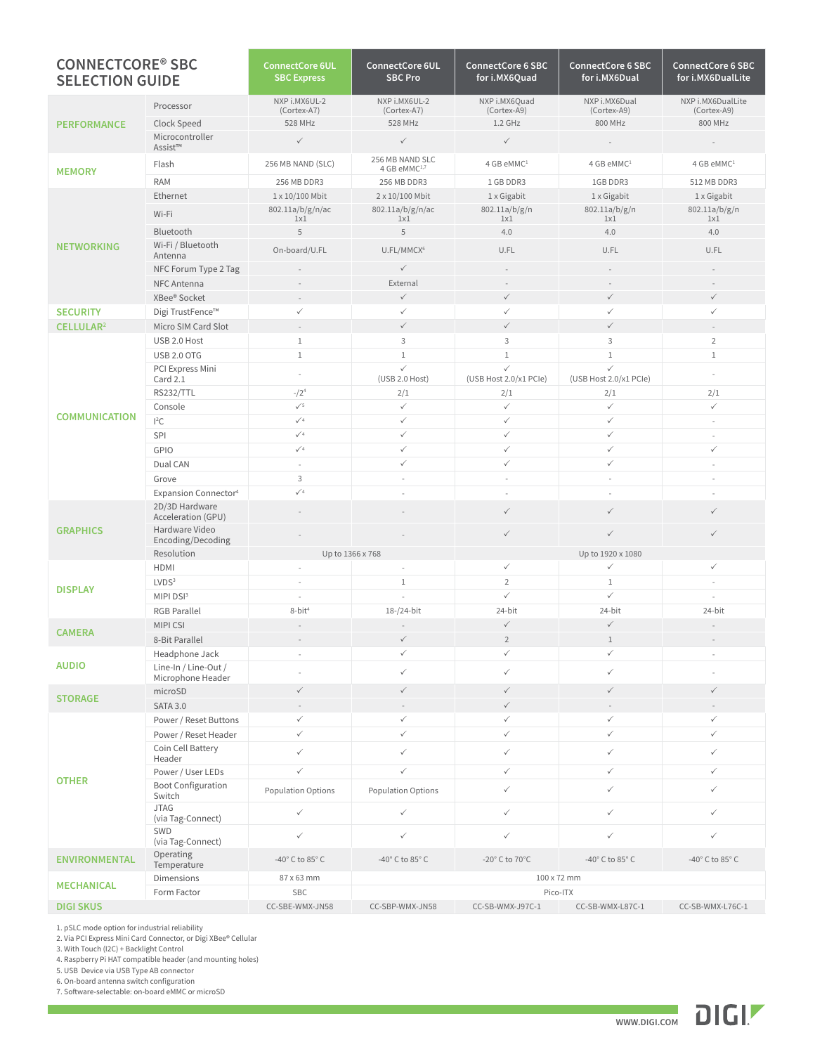| <b>CONNECTCORE<sup>®</sup> SBC</b><br><b>SELECTION GUIDE</b> |                                           | <b>ConnectCore 6UL</b><br><b>SBC Express</b> | <b>ConnectCore 6UL</b><br><b>SBC Pro</b>    | <b>ConnectCore 6 SBC</b><br>for i.MX6Quad | <b>ConnectCore 6 SBC</b><br>for i.MX6Dual | <b>ConnectCore 6 SBC</b><br>for i.MX6DualLite |
|--------------------------------------------------------------|-------------------------------------------|----------------------------------------------|---------------------------------------------|-------------------------------------------|-------------------------------------------|-----------------------------------------------|
| <b>PERFORMANCE</b>                                           | Processor                                 | NXP i.MX6UL-2<br>(Cortex-A7)                 | NXP i.MX6UL-2<br>(Cortex-A7)                | NXP i.MX6Quad<br>(Cortex-A9)              | NXP i.MX6Dual<br>(Cortex-A9)              | NXP i.MX6DualLite<br>(Cortex-A9)              |
|                                                              | Clock Speed                               | 528 MHz                                      | 528 MHz                                     | $1.2$ GHz                                 | 800 MHz                                   | 800 MHz                                       |
|                                                              | Microcontroller<br>Assist™                | $\checkmark$                                 | $\checkmark$                                | $\checkmark$                              | $\overline{a}$                            | ÷                                             |
| <b>MEMORY</b>                                                | Flash                                     | 256 MB NAND (SLC)                            | 256 MB NAND SLC<br>4 GB eMMC <sup>1,7</sup> | 4 GB eMMC <sup>1</sup>                    | 4 GB eMMC <sup>1</sup>                    | 4 GB eMMC <sup>1</sup>                        |
|                                                              | <b>RAM</b>                                | 256 MB DDR3                                  | 256 MB DDR3                                 | 1 GB DDR3                                 | 1GB DDR3                                  | 512 MB DDR3                                   |
|                                                              | Ethernet                                  | 1 x 10/100 Mbit                              | 2 x 10/100 Mbit                             | 1 x Gigabit                               | 1 x Gigabit                               | 1 x Gigabit                                   |
|                                                              | Wi-Fi                                     | 802.11a/b/g/n/ac<br>1x1                      | 802.11a/b/g/n/ac<br>1x1                     | 802.11a/b/g/n<br>1x1                      | 802.11a/b/g/n<br>1x1                      | 802.11a/b/g/n<br>1x1                          |
|                                                              | Bluetooth                                 | 5                                            | 5                                           | 4.0                                       | 4.0                                       | 4.0                                           |
| <b>NETWORKING</b>                                            | Wi-Fi / Bluetooth<br>Antenna              | On-board/U.FL                                | U.FL/MMCX <sup>6</sup>                      | U.FL                                      | U.FL                                      | U.FL                                          |
|                                                              | NFC Forum Type 2 Tag                      |                                              | ✓                                           |                                           |                                           |                                               |
|                                                              | NFC Antenna                               |                                              | External                                    |                                           |                                           |                                               |
|                                                              | XBee® Socket                              |                                              | $\checkmark$                                | $\checkmark$                              | $\checkmark$                              | $\checkmark$                                  |
| <b>SECURITY</b>                                              | Digi TrustFence™                          | $\checkmark$                                 | $\checkmark$                                | ✓                                         | $\checkmark$                              | $\checkmark$                                  |
| CELLULAR <sup>2</sup>                                        | Micro SIM Card Slot                       | $\overline{\phantom{a}}$                     | $\checkmark$                                | $\checkmark$                              | $\checkmark$                              |                                               |
|                                                              | USB 2.0 Host                              | $1\,$                                        | 3                                           | 3                                         | 3                                         | $\overline{2}$                                |
|                                                              | <b>USB 2.0 OTG</b>                        | $1\,$                                        | $\mathbf{1}$                                | $\mathbf{1}$                              | $1\,$                                     | $\mathbf{1}$                                  |
|                                                              | PCI Express Mini<br>Card 2.1              | ÷,                                           | $\checkmark$<br>(USB 2.0 Host)              | $\checkmark$<br>(USB Host 2.0/x1 PCle)    | $\checkmark$<br>(USB Host 2.0/x1 PCle)    | ÷,                                            |
|                                                              | <b>RS232/TTL</b>                          | $- / 24$                                     | 2/1                                         | 2/1                                       | 2/1                                       | 2/1                                           |
|                                                              | Console                                   | $\sqrt{5}$                                   | $\checkmark$                                | $\checkmark$                              | $\checkmark$                              | $\checkmark$                                  |
| <b>COMMUNICATION</b>                                         | $l^2C$                                    | $\checkmark$ 4                               | $\checkmark$                                | $\checkmark$                              | $\checkmark$                              | $\omega$                                      |
|                                                              | SPI                                       | $\sqrt{4}$                                   | $\checkmark$                                | $\checkmark$                              | $\checkmark$                              | ÷,                                            |
|                                                              | GPIO                                      | $\sqrt{4}$                                   | $\checkmark$                                | ✓                                         | $\checkmark$                              | $\checkmark$                                  |
|                                                              | Dual CAN                                  | $\sim$                                       | $\checkmark$                                | ✓                                         | $\checkmark$                              | J,                                            |
|                                                              | Grove                                     | 3                                            | $\mathbb{Z}^2$                              | $\sim$                                    | $\sim$                                    | L.                                            |
|                                                              | Expansion Connector <sup>4</sup>          | $\checkmark$ 4                               | ÷,                                          | $\sim$                                    | $\sim$                                    | $\bar{a}$                                     |
|                                                              | 2D/3D Hardware<br>Acceleration (GPU)      |                                              |                                             | ✓                                         | $\checkmark$                              | $\checkmark$                                  |
| <b>GRAPHICS</b>                                              | Hardware Video<br>Encoding/Decoding       |                                              |                                             | ✓                                         | $\checkmark$                              | $\checkmark$                                  |
|                                                              | Resolution                                |                                              | Up to 1920 x 1080<br>Up to 1366 x 768       |                                           |                                           |                                               |
|                                                              | <b>HDMI</b>                               | ÷,                                           | ÷                                           | ✓                                         | $\checkmark$                              | $\checkmark$                                  |
|                                                              | LVDS <sup>3</sup>                         | $\sim$                                       | $1\,$                                       | $\overline{2}$                            | $\mathbf{1}$                              | $\bar{a}$                                     |
| <b>DISPLAY</b>                                               | MIPI DSI3                                 | J.                                           | ÷.                                          | $\checkmark$                              | $\checkmark$                              | L.                                            |
|                                                              | <b>RGB Parallel</b>                       | 8-bit <sup>4</sup>                           | 18-/24-bit                                  | 24-bit                                    | 24-bit                                    | 24-bit                                        |
| <b>CAMERA</b>                                                | <b>MIPICSI</b>                            |                                              |                                             | ✓                                         | $\checkmark$                              |                                               |
|                                                              | 8-Bit Parallel                            |                                              | $\checkmark$                                | $\overline{2}$                            | $1\,$                                     |                                               |
| <b>AUDIO</b>                                                 | Headphone Jack                            | $\overline{\phantom{a}}$                     | $\checkmark$                                | $\checkmark$                              | $\checkmark$                              | $\overline{\phantom{a}}$                      |
|                                                              | Line-In / Line-Out /<br>Microphone Header |                                              | ✓                                           | ✓                                         | $\checkmark$                              |                                               |
| <b>STORAGE</b>                                               | microSD                                   | $\checkmark$                                 | ✓                                           | ✓                                         | $\checkmark$                              | $\checkmark$                                  |
|                                                              | <b>SATA 3.0</b>                           |                                              |                                             | $\checkmark$                              |                                           |                                               |
| <b>OTHER</b>                                                 | Power / Reset Buttons                     | $\checkmark$                                 | $\checkmark$                                | $\checkmark$                              | $\checkmark$                              | $\checkmark$                                  |
|                                                              | Power / Reset Header                      | $\checkmark$                                 | $\checkmark$                                | $\checkmark$                              | $\checkmark$                              | $\checkmark$                                  |
|                                                              | Coin Cell Battery<br>Header               | $\checkmark$                                 | $\checkmark$                                | $\checkmark$                              | $\checkmark$                              | $\checkmark$                                  |
|                                                              | Power / User LEDs                         | $\checkmark$                                 | $\checkmark$                                | $\checkmark$                              | $\checkmark$                              | $\checkmark$                                  |
|                                                              | <b>Boot Configuration</b>                 | Population Options                           | Population Options                          | $\checkmark$                              | $\checkmark$                              | $\checkmark$                                  |
|                                                              | Switch<br><b>JTAG</b>                     | $\checkmark$                                 | ✓                                           | ✓                                         | $\checkmark$                              | $\checkmark$                                  |
|                                                              | (via Tag-Connect)<br>SWD                  | $\checkmark$                                 | ✓                                           | ✓                                         | $\checkmark$                              | $\checkmark$                                  |
| <b>ENVIRONMENTAL</b>                                         | (via Tag-Connect)<br>Operating            | -40° C to 85° C                              | -40 $^{\circ}$ C to 85 $^{\circ}$ C         | -20 $^{\circ}$ C to 70 $^{\circ}$ C       | -40° C to 85° C                           | $-40^\circ$ C to 85 $^\circ$ C                |
|                                                              | Temperature<br>Dimensions                 | 87 x 63 mm                                   |                                             |                                           | 100 x 72 mm                               |                                               |
| <b>MECHANICAL</b><br>Form Factor                             |                                           | SBC                                          | Pico-ITX                                    |                                           |                                           |                                               |
| <b>DIGI SKUS</b>                                             |                                           | CC-SBE-WMX-JN58                              | CC-SBP-WMX-JN58                             | CC-SB-WMX-J97C-1                          | CC-SB-WMX-L87C-1                          | CC-SB-WMX-L76C-1                              |

1. pSLC mode option for industrial reliability

2. Via PCI Express Mini Card Connector, or Digi XBee® Cellular

3. With Touch (I2C) + Backlight Control

4. Raspberry Pi HAT compatible header (and mounting holes)

5. USB Device via USB Type AB connector

6. On-board antenna switch configuration

7. Software-selectable: on-board eMMC or microSD